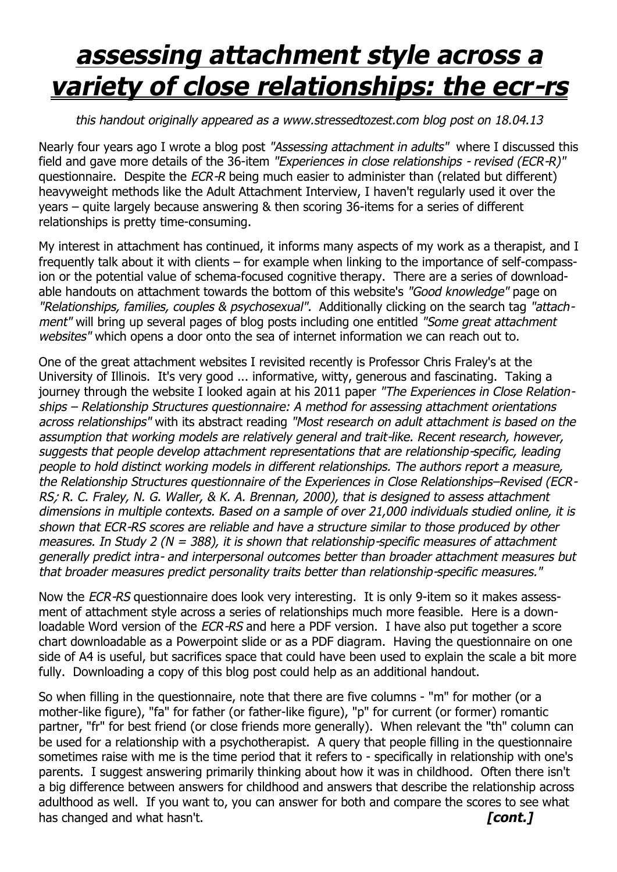## *assessing attachment style across a variety of close relationships: the ecr-rs*

## *this handout originally appeared as a www.stressedtozest.com blog post on 18.04.13*

Nearly four years ago I wrote a blog post *"Assessing attachment in adults"* where I discussed this field and gave more details of the 36-item *"Experiences in close relationships - revised (ECR-R)"*  questionnaire. Despite the *ECR-R* being much easier to administer than (related but different) heavyweight methods like the Adult Attachment Interview, I haven't regularly used it over the years – quite largely because answering & then scoring 36-items for a series of different relationships is pretty time-consuming.

My interest in attachment has continued, it informs many aspects of my work as a therapist, and I frequently talk about it with clients – for example when linking to the importance of self-compassion or the potential value of schema-focused cognitive therapy. There are a series of downloadable handouts on attachment towards the bottom of this website's *"Good knowledge"* page on *"Relationships, families, couples & psychosexual".* Additionally clicking on the search tag *"attachment"* will bring up several pages of blog posts including one entitled *"Some great attachment websites"* which opens a door onto the sea of internet information we can reach out to.

One of the great attachment websites I revisited recently is Professor Chris Fraley's at the University of Illinois. It's very good ... informative, witty, generous and fascinating. Taking a journey through the website I looked again at his 2011 paper *"The Experiences in Close Relationships – Relationship Structures questionnaire: A method for assessing attachment orientations across relationships"* with its abstract reading *"Most research on adult attachment is based on the assumption that working models are relatively general and trait-like. Recent research, however, suggests that people develop attachment representations that are relationship-specific, leading people to hold distinct working models in different relationships. The authors report a measure, the Relationship Structures questionnaire of the Experiences in Close Relationships–Revised (ECR-RS; R. C. Fraley, N. G. Waller, & K. A. Brennan, 2000), that is designed to assess attachment dimensions in multiple contexts. Based on a sample of over 21,000 individuals studied online, it is shown that ECR-RS scores are reliable and have a structure similar to those produced by other measures. In Study 2 (N = 388), it is shown that relationship-specific measures of attachment generally predict intra- and interpersonal outcomes better than broader attachment measures but that broader measures predict personality traits better than relationship-specific measures."*

Now the *ECR-RS* questionnaire does look very interesting. It is only 9-item so it makes assessment of attachment style across a series of relationships much more feasible. Here is a downloadable Word version of the *ECR-RS* and here a PDF version. I have also put together a score chart downloadable as a Powerpoint slide or as a PDF diagram. Having the questionnaire on one side of A4 is useful, but sacrifices space that could have been used to explain the scale a bit more fully. Downloading a copy of this blog post could help as an additional handout.

So when filling in the questionnaire, note that there are five columns - "m" for mother (or a mother-like figure), "fa" for father (or father-like figure), "p" for current (or former) romantic partner, "fr" for best friend (or close friends more generally). When relevant the "th" column can be used for a relationship with a psychotherapist. A query that people filling in the questionnaire sometimes raise with me is the time period that it refers to - specifically in relationship with one's parents. I suggest answering primarily thinking about how it was in childhood. Often there isn't a big difference between answers for childhood and answers that describe the relationship across adulthood as well. If you want to, you can answer for both and compare the scores to see what has changed and what hasn't. *cont. f* **cont.***f*